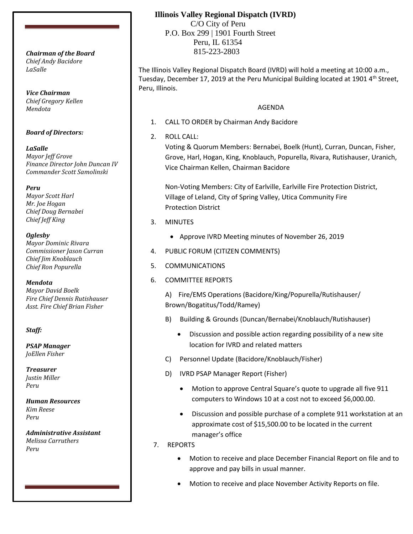*Chief Andy Bacidore LaSalle*

*Vice Chairman Chief Gregory Kellen Mendota*

#### *Board of Directors:*

*LaSalle Mayor Jeff Grove Finance Director John Duncan IV Commander Scott Samolinski*

*Peru Mayor Scott Harl Mr. Joe Hogan Chief Doug Bernabei Chief Jeff King*

*Oglesby Mayor Dominic Rivara Commissioner Jason Curran Chief Jim Knoblauch Chief Ron Popurella*

*Mendota Mayor David Boelk Fire Chief Dennis Rutishauser Asst. Fire Chief Brian Fisher*

#### *Staff:*

*PSAP Manager JoEllen Fisher*

*Treasurer Justin Miller Peru*

*Human Resources Kim Reese Peru*

*Administrative Assistant Melissa Carruthers Peru*

## **Illinois Valley Regional Dispatch (IVRD)**

 C/O City of Peru P.O. Box 299 | 1901 Fourth Street Peru, IL 61354 815-223-2803 *Chairman of the Board*

> The Illinois Valley Regional Dispatch Board (IVRD) will hold a meeting at 10:00 a.m., Tuesday, December 17, 2019 at the Peru Municipal Building located at 1901 4<sup>th</sup> Street, Peru, Illinois.

## AGENDA

- 1. CALL TO ORDER by Chairman Andy Bacidore
- 2. ROLL CALL:

Voting & Quorum Members: Bernabei, Boelk (Hunt), Curran, Duncan, Fisher, Grove, Harl, Hogan, King, Knoblauch, Popurella, Rivara, Rutishauser, Uranich, Vice Chairman Kellen, Chairman Bacidore

Non-Voting Members: City of Earlville, Earlville Fire Protection District, Village of Leland, City of Spring Valley, Utica Community Fire Protection District

- 3. MINUTES
	- Approve IVRD Meeting minutes of November 26, 2019
- 4. PUBLIC FORUM (CITIZEN COMMENTS)
- 5. COMMUNICATIONS
- 6. COMMITTEE REPORTS

A) Fire/EMS Operations (Bacidore/King/Popurella/Rutishauser/ Brown/Bogatitus/Todd/Ramey)

- B) Building & Grounds (Duncan/Bernabei/Knoblauch/Rutishauser)
	- Discussion and possible action regarding possibility of a new site location for IVRD and related matters
- C) Personnel Update (Bacidore/Knoblauch/Fisher)
- D) IVRD PSAP Manager Report (Fisher)
	- Motion to approve Central Square's quote to upgrade all five 911 computers to Windows 10 at a cost not to exceed \$6,000.00.
	- Discussion and possible purchase of a complete 911 workstation at an approximate cost of \$15,500.00 to be located in the current manager's office
- 7. REPORTS
	- Motion to receive and place December Financial Report on file and to approve and pay bills in usual manner.
	- Motion to receive and place November Activity Reports on file.